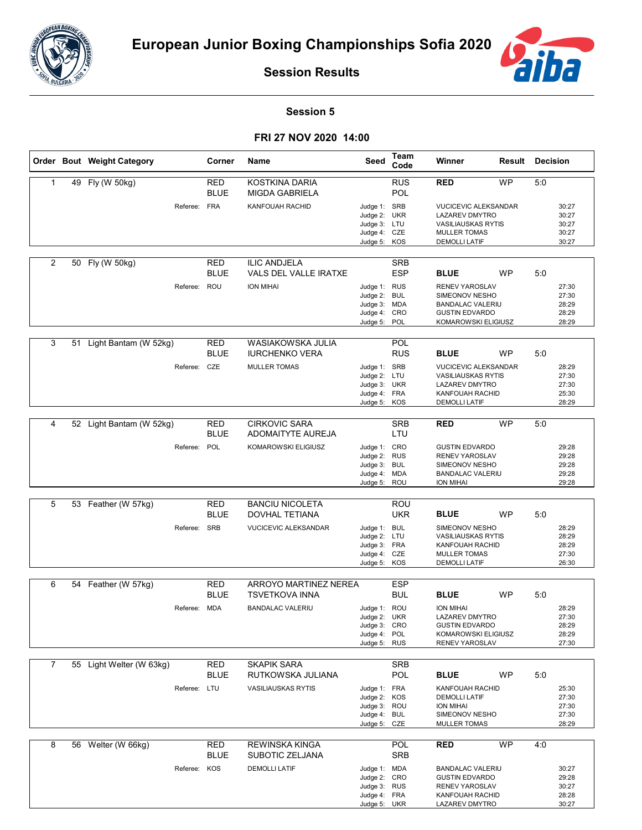



**Session Results**

## **Session 5**

## **FRI 27 NOV 2020 14:00**

|                | Order Bout Weight Category |              | Corner                    | Name                                             | Seed                                                                         | Team<br>Code             | Winner                                                                                                                           | Result    | <b>Decision</b> |                                           |
|----------------|----------------------------|--------------|---------------------------|--------------------------------------------------|------------------------------------------------------------------------------|--------------------------|----------------------------------------------------------------------------------------------------------------------------------|-----------|-----------------|-------------------------------------------|
| 1              | 49 Fly (W 50kg)            |              | RED<br><b>BLUE</b>        | KOSTKINA DARIA<br><b>MIGDA GABRIELA</b>          |                                                                              | <b>RUS</b><br>POL        | <b>RED</b>                                                                                                                       | <b>WP</b> | 5:0             |                                           |
|                |                            | Referee: FRA |                           | KANFOUAH RACHID                                  | Judge 1: SRB<br>Judge 2: UKR<br>Judge 3: LTU<br>Judge 4: CZE<br>Judge 5: KOS |                          | <b>VUCICEVIC ALEKSANDAR</b><br><b>LAZAREV DMYTRO</b><br><b>VASILIAUSKAS RYTIS</b><br><b>MULLER TOMAS</b><br><b>DEMOLLI LATIF</b> |           |                 | 30:27<br>30:27<br>30:27<br>30:27<br>30:27 |
| $\overline{2}$ | 50 Fly (W 50kg)            |              | RED<br><b>BLUE</b>        | <b>ILIC ANDJELA</b><br>VALS DEL VALLE IRATXE     |                                                                              | <b>SRB</b><br><b>ESP</b> | <b>BLUE</b>                                                                                                                      | <b>WP</b> | 5:0             |                                           |
|                |                            | Referee: ROU |                           | ION MIHAI                                        | Judge 1: RUS<br>Judge 2: BUL<br>Judge 3: MDA<br>Judge 4: CRO<br>Judge 5:     | POL                      | RENEV YAROSLAV<br>SIMEONOV NESHO<br><b>BANDALAC VALERIU</b><br><b>GUSTIN EDVARDO</b><br>KOMAROWSKI ELIGIUSZ                      |           |                 | 27:30<br>27:30<br>28:29<br>28:29<br>28:29 |
| 3              | 51 Light Bantam (W 52kg)   |              | RED<br><b>BLUE</b>        | WASIAKOWSKA JULIA<br><b>IURCHENKO VERA</b>       |                                                                              | POL<br><b>RUS</b>        | <b>BLUE</b>                                                                                                                      | <b>WP</b> | 5:0             |                                           |
|                |                            | Referee: CZE |                           | <b>MULLER TOMAS</b>                              | Judge 1: SRB<br>Judge 2: LTU<br>Judge 3: UKR<br>Judge 4: FRA<br>Judge 5: KOS |                          | <b>VUCICEVIC ALEKSANDAR</b><br><b>VASILIAUSKAS RYTIS</b><br><b>LAZAREV DMYTRO</b><br>KANFOUAH RACHID<br><b>DEMOLLI LATIF</b>     |           |                 | 28:29<br>27:30<br>27:30<br>25:30<br>28:29 |
| 4              | 52 Light Bantam (W 52kg)   |              | RED<br><b>BLUE</b>        | <b>CIRKOVIC SARA</b><br><b>ADOMAITYTE AUREJA</b> |                                                                              | <b>SRB</b><br>LTU        | <b>RED</b>                                                                                                                       | <b>WP</b> | 5:0             |                                           |
|                |                            | Referee: POL |                           | KOMAROWSKI ELIGIUSZ                              | Judge 1: CRO<br>Judge 2: RUS<br>Judge 3: BUL<br>Judge 4: MDA<br>Judge 5: ROU |                          | <b>GUSTIN EDVARDO</b><br>RENEV YAROSLAV<br>SIMEONOV NESHO<br><b>BANDALAC VALERIU</b><br><b>ION MIHAI</b>                         |           |                 | 29:28<br>29:28<br>29:28<br>29:28<br>29:28 |
|                |                            |              |                           |                                                  |                                                                              |                          |                                                                                                                                  |           |                 |                                           |
| 5              | 53 Feather (W 57kg)        |              | <b>RED</b><br><b>BLUE</b> | <b>BANCIU NICOLETA</b><br><b>DOVHAL TETIANA</b>  |                                                                              | <b>ROU</b><br><b>UKR</b> | <b>BLUE</b>                                                                                                                      | <b>WP</b> | 5:0             |                                           |
|                |                            | Referee: SRB |                           | <b>VUCICEVIC ALEKSANDAR</b>                      | Judge 1: BUL<br>Judge 2: LTU<br>Judge 3: FRA<br>Judge 4: CZE<br>Judge 5: KOS |                          | SIMEONOV NESHO<br><b>VASILIAUSKAS RYTIS</b><br>KANFOUAH RACHID<br><b>MULLER TOMAS</b><br><b>DEMOLLI LATIF</b>                    |           |                 | 28:29<br>28:29<br>28:29<br>27:30<br>26:30 |
| 6              | 54 Feather (W 57kg)        |              | <b>RED</b>                | <b>ARROYO MARTINEZ NEREA</b>                     |                                                                              | <b>ESP</b>               |                                                                                                                                  |           |                 |                                           |
|                |                            |              | <b>BLUE</b>               | TSVETKOVA INNA                                   |                                                                              | <b>BUL</b>               | <b>BLUE</b>                                                                                                                      | WP        | 5:0             |                                           |
|                |                            | Referee: MDA |                           | <b>BANDALAC VALERIU</b>                          | Judge 1: ROU<br>Judge 2: UKR<br>Judge 3: CRO<br>Judge 4: POL<br>Judge 5: RUS |                          | ION MIHAI<br>LAZAREV DMYTRO<br><b>GUSTIN EDVARDO</b><br>KOMAROWSKI ELIGIUSZ<br><b>RENEV YAROSLAV</b>                             |           |                 | 28:29<br>27:30<br>28:29<br>28:29<br>27:30 |
| 7              | 55 Light Welter (W 63kg)   |              | RED                       | <b>SKAPIK SARA</b>                               |                                                                              | <b>SRB</b>               |                                                                                                                                  |           |                 |                                           |
|                |                            |              | <b>BLUE</b>               | RUTKOWSKA JULIANA                                |                                                                              | POL                      | <b>BLUE</b>                                                                                                                      | <b>WP</b> | 5:0             |                                           |
|                |                            | Referee: LTU |                           | <b>VASILIAUSKAS RYTIS</b>                        | Judge 1: FRA<br>Judge 2: KOS<br>Judge 3: ROU<br>Judge 4: BUL<br>Judge 5: CZE |                          | KANFOUAH RACHID<br><b>DEMOLLI LATIF</b><br>ION MIHAI<br>SIMEONOV NESHO<br><b>MULLER TOMAS</b>                                    |           |                 | 25:30<br>27:30<br>27:30<br>27:30<br>28:29 |
| 8              | 56 Welter (W 66kg)         |              | <b>RED</b>                | <b>REWINSKA KINGA</b>                            |                                                                              | POL                      | <b>RED</b>                                                                                                                       | WP        | 4:0             |                                           |
|                |                            |              | <b>BLUE</b>               | SUBOTIC ZELJANA                                  |                                                                              | <b>SRB</b>               |                                                                                                                                  |           |                 |                                           |
|                |                            | Referee: KOS |                           | <b>DEMOLLI LATIF</b>                             | Judge 1: MDA<br>Judge 2: CRO<br>Judge 3: RUS<br>Judge 4: FRA<br>Judge 5: UKR |                          | <b>BANDALAC VALERIU</b><br><b>GUSTIN EDVARDO</b><br>RENEV YAROSLAV<br>KANFOUAH RACHID<br>LAZAREV DMYTRO                          |           |                 | 30:27<br>29:28<br>30:27<br>28:28<br>30:27 |